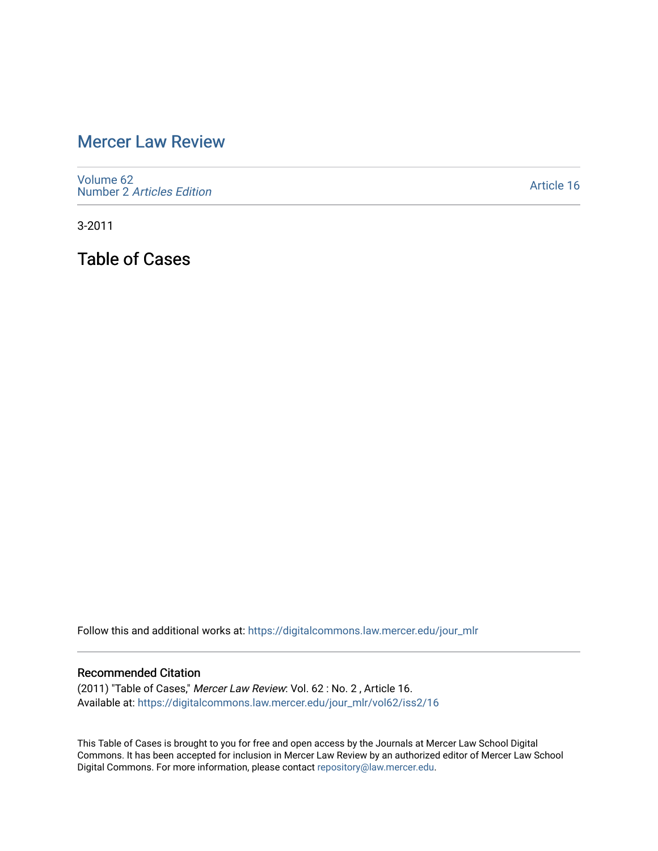## [Mercer Law Review](https://digitalcommons.law.mercer.edu/jour_mlr)

[Volume 62](https://digitalcommons.law.mercer.edu/jour_mlr/vol62) Number 2 [Articles Edition](https://digitalcommons.law.mercer.edu/jour_mlr/vol62/iss2) 

[Article 16](https://digitalcommons.law.mercer.edu/jour_mlr/vol62/iss2/16) 

3-2011

Table of Cases

Follow this and additional works at: [https://digitalcommons.law.mercer.edu/jour\\_mlr](https://digitalcommons.law.mercer.edu/jour_mlr?utm_source=digitalcommons.law.mercer.edu%2Fjour_mlr%2Fvol62%2Fiss2%2F16&utm_medium=PDF&utm_campaign=PDFCoverPages)

## Recommended Citation

(2011) "Table of Cases," Mercer Law Review: Vol. 62 : No. 2 , Article 16. Available at: [https://digitalcommons.law.mercer.edu/jour\\_mlr/vol62/iss2/16](https://digitalcommons.law.mercer.edu/jour_mlr/vol62/iss2/16?utm_source=digitalcommons.law.mercer.edu%2Fjour_mlr%2Fvol62%2Fiss2%2F16&utm_medium=PDF&utm_campaign=PDFCoverPages) 

This Table of Cases is brought to you for free and open access by the Journals at Mercer Law School Digital Commons. It has been accepted for inclusion in Mercer Law Review by an authorized editor of Mercer Law School Digital Commons. For more information, please contact [repository@law.mercer.edu](mailto:repository@law.mercer.edu).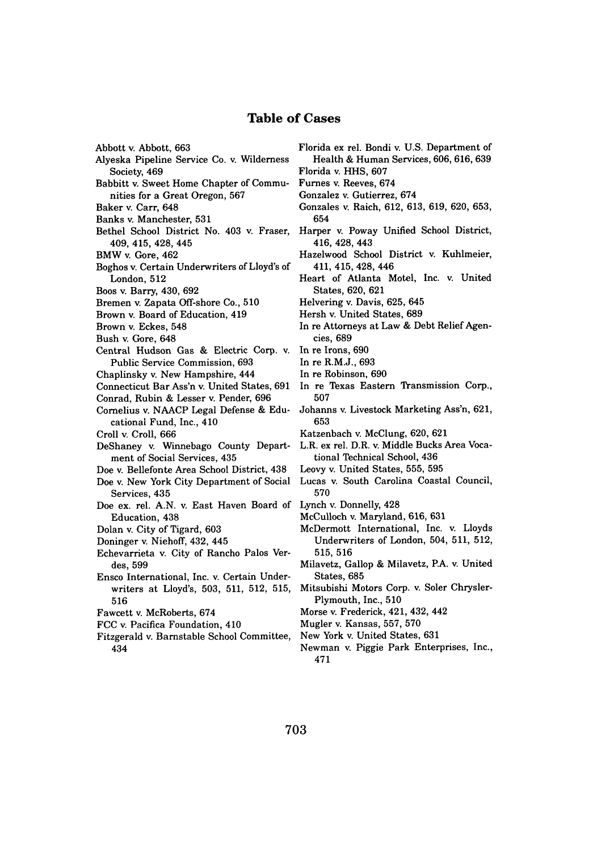## **Table of Cases**

- Abbott v. Abbott, **663**
- Alyeska Pipeline Service Co. v. Wilderness Society, 469
- Babbitt v. Sweet Home Chapter of Communities for a Great Oregon, **567**
- Baker v. Carr, 648
- Banks v. Manchester, **531**
- Bethel School District No. 403 *v.* Fraser, 409, 415, 428, 445
- BMW v. Gore, 462
- Boghos v. Certain Underwriters of Lloyd's of London, 512
- Boos v. Barry, 430, **692**
- Bremen v. Zapata Off-shore Co., **510**
- Brown v. Board of Education, 419
- Brown v. Eckes, 548
- Bush v. Gore, 648
- Central Hudson Gas **&** Electric Corp. v. In re Irons, **690** Public Service Commission, **693**
- Chaplinsky v. New Hampshire, 444
- Connecticut Bar Ass'n v. United States, **691**
- Conrad, Rubin **&** Lesser v. Pender, **696**
- Cornelius v. **NAACP** Legal Defense **&** Educational Fund, Inc., 410
- Croll v. Croll, **666**
- DeShaney v. Winnebago County Department of Social Services, 435
- Doe v. Bellefonte Area School District, 438
- Doe v. New York City Department of Social Services, 435
- Doe ex. rel. **A.N.** v. East Haven Board of Education, 438
- Dolan v. City of Tigard, **603**
- Doninger v. Niehoff, 432, 445
- Echevarrieta v. City of Rancho Palos Verdes, 599
- Ensco International, Inc. v. Certain Underwriters at Lloyd's, **503, 511, 512, 515, 516**
- Fawcett v. McRoberts, 674
- **FCC** v. Pacifica Foundation, 410
- Fitzgerald v. Barnstable School Committee, 434
- Florida ex rel. Bondi v. **U.S.** Department of Health **&** Human Services, **606, 616, 639**
- Florida v. **HHS, 607**
- Furnes v. Reeves, 674
- Gonzalez v. Gutierrez, 674
- Gonzales v. Raich, **612, 613, 619, 620, 653,** 654
- Harper v. Poway Unified School District, 416, 428, 443
- Hazelwood School District v. Kuhlmeier, 411, 415, 428, 446
- Heart of Atlanta Motel, Inc. v. United States, **620, 621**
- Helvering v. Davis, **625,** 645
- Hersh v. United States, **689**
- In re Attorneys at Law **&** Debt Relief Agencies, **689**
- 
- In re R.M.J., **693**
- In re Robinson, **690**
- In re Texas Eastern Transmission Corp., **507**
- Johanns v. Livestock Marketing Ass'n, **621, 653**
- Katzenbach v. McClung, **620, 621**
- L.R. ex rel. D.R. v. Middle Bucks Area Vocational Technical School, 436
- Leovy v. United States, **555, 595**
- Lucas v. South Carolina Coastal Council, **570**
- Lynch v. Donnelly, 428
- McCulloch v. Maryland, **616, 631**
- McDermott International, Inc. v. Lloyds Underwriters of London, 504, **511, 512, 515, 516**
- Milavetz, Gallop **&** Milavetz, P.A. v. United States, **685**
- Mitsubishi Motors Corp. v. Soler Chrysler-Plymouth, Inc., **510**
- Morse v. Frederick, 421, 432, 442
- Mugler v. Kansas, **557, 570**
- New York v. United States, **631**
- Newman v. Piggie Park Enterprises, Inc., 471